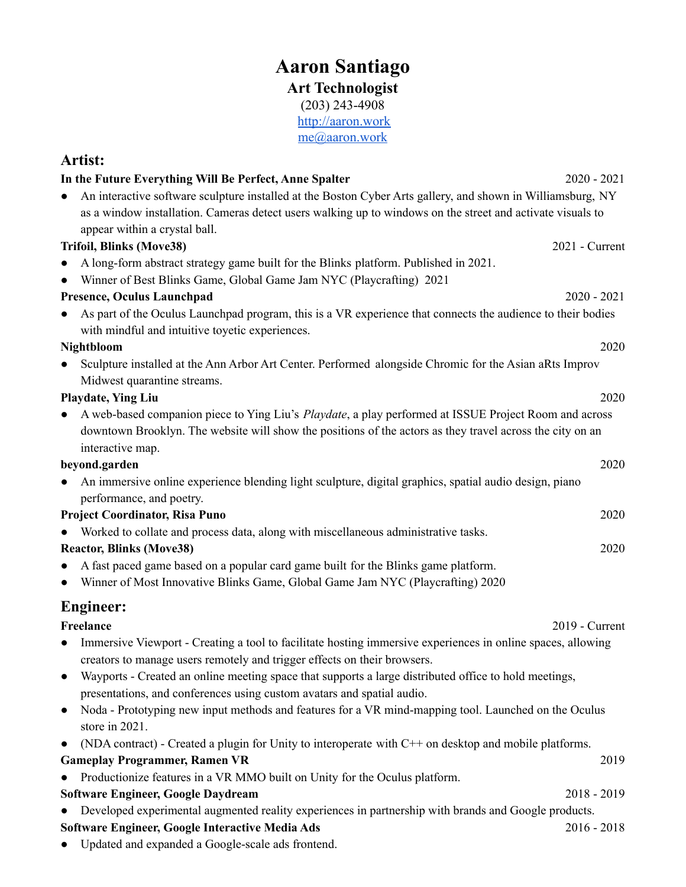## **Aaron Santiago Art Technologist** (203) 243-4908 <http://aaron.work>

[me@aaron.work](mailto:me@aaron.work)

## **Artist: In the Future Everything Will Be Perfect, Anne Spalter** 2020 - 2021 • An interactive software sculpture installed at the Boston Cyber Arts gallery, and shown in Williamsburg, NY as a window installation. Cameras detect users walking up to windows on the street and activate visuals to appear within a crystal ball. **Trifoil, Blinks (Move38)** 2021 - Current ● A long-form abstract strategy game built for the Blinks platform. Published in 2021. • Winner of Best Blinks Game, Global Game Jam NYC (Playcrafting) 2021 **Presence, Oculus Launchpad** 2020 - 2021 ● As part of the Oculus Launchpad program, this is a VR experience that connects the audience to their bodies with mindful and intuitive toyetic experiences. **Nightbloom** 2020 ● Sculpture installed at the Ann Arbor Art Center. Performed alongside Chromic for the Asian aRts Improv Midwest quarantine streams. **Playdate, Ying Liu** 2020 ● A web-based companion piece to Ying Liu's *Playdate*, a play performed at ISSUE Project Room and across downtown Brooklyn. The website will show the positions of the actors as they travel across the city on an interactive map. **beyond.garden** 2020 ● An immersive online experience blending light sculpture, digital graphics, spatial audio design, piano performance, and poetry. **Project Coordinator, Risa Puno** 2020 Worked to collate and process data, along with miscellaneous administrative tasks. **Reactor, Blinks (Move38)** 2020 ● A fast paced game based on a popular card game built for the Blinks game platform. ● Winner of Most Innovative Blinks Game, Global Game Jam NYC (Playcrafting) 2020 **Engineer: Freelance** 2019 - Current creators to manage users remotely and trigger effects on their browsers. presentations, and conferences using custom avatars and spatial audio. store in 2021. **Gameplay Programmer, Ramen VR** 2019 ● Productionize features in a VR MMO built on Unity for the Oculus platform. **Software Engineer, Google Daydream** 2018 - 2019 **Software Engineer, Google Interactive Media Ads** 2016 - 2018

- 
- 
- 

- - -
		-
- 

- Immersive Viewport Creating a tool to facilitate hosting immersive experiences in online spaces, allowing
- Wayports Created an online meeting space that supports a large distributed office to hold meetings,
- Noda Prototyping new input methods and features for a VR mind-mapping tool. Launched on the Oculus
- (NDA contract) Created a plugin for Unity to interoperate with C++ on desktop and mobile platforms.
- Developed experimental augmented reality experiences in partnership with brands and Google products.
- Updated and expanded a Google-scale ads frontend.